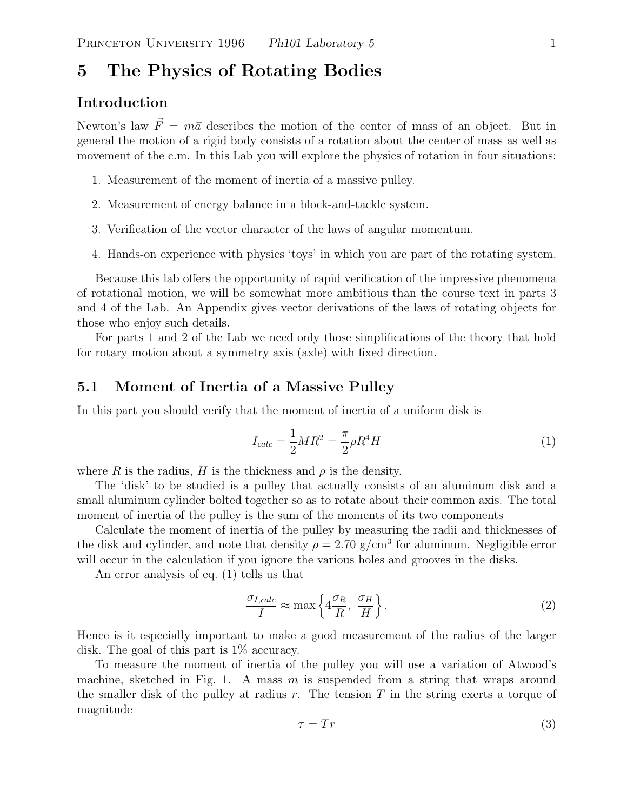# **5 The Physics of Rotating Bodies**

## **Introduction**

Newton's law  $\vec{F} = m\vec{a}$  describes the motion of the center of mass of an object. But in general the motion of a rigid body consists of a rotation about the center of mass as well as movement of the c.m. In this Lab you will explore the physics of rotation in four situations:

- 1. Measurement of the moment of inertia of a massive pulley.
- 2. Measurement of energy balance in a block-and-tackle system.
- 3. Verification of the vector character of the laws of angular momentum.
- 4. Hands-on experience with physics 'toys' in which you are part of the rotating system.

Because this lab offers the opportunity of rapid verification of the impressive phenomena of rotational motion, we will be somewhat more ambitious than the course text in parts 3 and 4 of the Lab. An Appendix gives vector derivations of the laws of rotating objects for those who enjoy such details.

For parts 1 and 2 of the Lab we need only those simplifications of the theory that hold for rotary motion about a symmetry axis (axle) with fixed direction.

## **5.1 Moment of Inertia of a Massive Pulley**

In this part you should verify that the moment of inertia of a uniform disk is

$$
I_{calc} = \frac{1}{2}MR^2 = \frac{\pi}{2}\rho R^4 H
$$
 (1)

where R is the radius, H is the thickness and  $\rho$  is the density.

The 'disk' to be studied is a pulley that actually consists of an aluminum disk and a small aluminum cylinder bolted together so as to rotate about their common axis. The total moment of inertia of the pulley is the sum of the moments of its two components

Calculate the moment of inertia of the pulley by measuring the radii and thicknesses of the disk and cylinder, and note that density  $\rho = 2.70$  g/cm<sup>3</sup> for aluminum. Negligible error will occur in the calculation if you ignore the various holes and grooves in the disks.

An error analysis of eq. (1) tells us that

$$
\frac{\sigma_{I,calc}}{I} \approx \max\left\{4\frac{\sigma_R}{R}, \frac{\sigma_H}{H}\right\}.
$$
\n(2)

Hence is it especially important to make a good measurement of the radius of the larger disk. The goal of this part is 1% accuracy.

To measure the moment of inertia of the pulley you will use a variation of Atwood's machine, sketched in Fig. 1. A mass  $m$  is suspended from a string that wraps around the smaller disk of the pulley at radius r. The tension T in the string exerts a torque of magnitude

$$
\tau = Tr \tag{3}
$$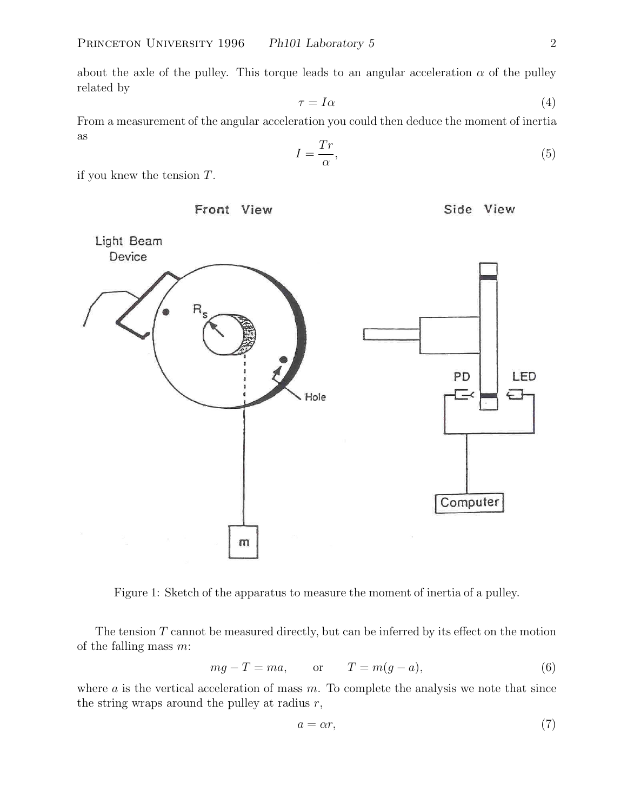about the axle of the pulley. This torque leads to an angular acceleration  $\alpha$  of the pulley related by

$$
\tau = I\alpha \tag{4}
$$

From a measurement of the angular acceleration you could then deduce the moment of inertia as

$$
I = \frac{Tr}{\alpha},\tag{5}
$$

if you knew the tension  $T$ .



Side View



Figure 1: Sketch of the apparatus to measure the moment of inertia of a pulley.

The tension  $T$  cannot be measured directly, but can be inferred by its effect on the motion of the falling mass  $m$ :

$$
mg - T = ma, \qquad \text{or} \qquad T = m(g - a), \tag{6}
$$

where  $a$  is the vertical acceleration of mass  $m$ . To complete the analysis we note that since the string wraps around the pulley at radius  $r$ ,

$$
a = \alpha r,\tag{7}
$$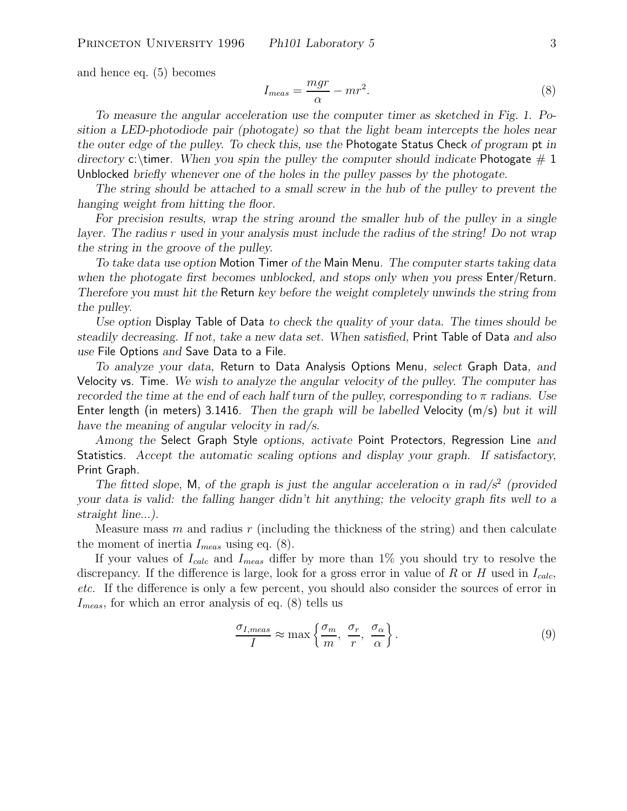and hence eq. (5) becomes

$$
I_{meas} = \frac{mgr}{\alpha} - mr^2.
$$
\n(8)

*To measure the angular acceleration use the computer timer as sketched in Fig. 1. Position a LED-photodiode pair (photogate) so that the light beam intercepts the holes near the outer edge of the pulley. To check this, use the* Photogate Status Check *of program* pt *in directory* c:\timer. When you spin the pulley the computer should indicate Photogate  $# 1$ Unblocked *briefly whenever one of the holes in the pulley passes by the photogate.*

*The string should be attached to a small screw in the hub of the pulley to prevent the hanging weight from hitting the floor.*

For precision results, wrap the string around the smaller hub of the pulley in a single *layer. The radius* r *used in your analysis must include the radius of the string! Do not wrap the string in the groove of the pulley.*

*To take data use option* Motion Timer *of the* Main Menu*. The computer starts taking data when the photogate first becomes unblocked, and stops only when you press* Enter/Return*. Therefore you must hit the* Return *key before the weight completely unwinds the string from the pulley.*

*Use option* Display Table of Data *to check the quality of your data. The times should be steadily decreasing. If not, take a new data set. When satisfied,* Print Table of Data *and also use* File Options *and* Save Data to a File*.*

*To analyze your data,* Return to Data Analysis Options Menu*, select* Graph Data*, and* Velocity vs. Time*. We wish to analyze the angular velocity of the pulley. The computer has recorded the time at the end of each half turn of the pulley, corresponding to*  $\pi$  *radians. Use* Enter length (in meters) 3.1416*. Then the graph will be labelled* Velocity (m/s) *but it will have the meaning of angular velocity in rad/s.*

*Among the* Select Graph Style *options, activate* Point Protectors*,* Regression Line *and* Statistics*. Accept the automatic scaling options and display your graph. If satisfactory,* Print Graph*.*

*The fitted slope,* M, of the graph is just the angular acceleration  $\alpha$  in rad/s<sup>2</sup> (provided *your data is valid: the falling hanger didn't hit anything; the velocity graph fits well to a straight line...).*

Measure mass  $m$  and radius  $r$  (including the thickness of the string) and then calculate the moment of inertia  $I_{meas}$  using eq. (8).

If your values of  $I_{calc}$  and  $I_{meas}$  differ by more than 1% you should try to resolve the discrepancy. If the difference is large, look for a gross error in value of R or H used in  $I_{calc}$ , *etc.* If the difference is only a few percent, you should also consider the sources of error in  $I_{meas}$ , for which an error analysis of eq. (8) tells us

$$
\frac{\sigma_{I,meas}}{I} \approx \max\left\{\frac{\sigma_m}{m}, \frac{\sigma_r}{r}, \frac{\sigma_\alpha}{\alpha}\right\}.
$$
\n(9)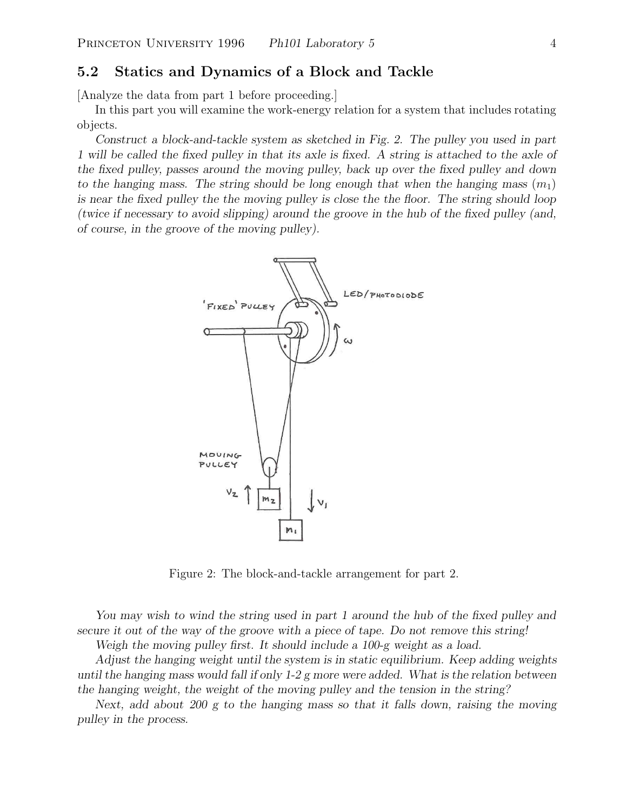### **5.2 Statics and Dynamics of a Block and Tackle**

[Analyze the data from part 1 before proceeding.]

In this part you will examine the work-energy relation for a system that includes rotating objects.

*Construct a block-and-tackle system as sketched in Fig. 2. The pulley you used in part 1 will be called the fixed pulley in that its axle is fixed. A string is attached to the axle of the fixed pulley, passes around the moving pulley, back up over the fixed pulley and down to the hanging mass. The string should be long enough that when the hanging mass*  $(m_1)$ *is near the fixed pulley the the moving pulley is close the the floor. The string should loop (twice if necessary to avoid slipping) around the groove in the hub of the fixed pulley (and, of course, in the groove of the moving pulley).*



Figure 2: The block-and-tackle arrangement for part 2.

*You may wish to wind the string used in part 1 around the hub of the fixed pulley and secure it out of the way of the groove with a piece of tape. Do not remove this string!*

*Weigh the moving pulley first. It should include a 100-g weight as a load.*

*Adjust the hanging weight until the system is in static equilibrium. Keep adding weights until the hanging mass would fall if only 1-2 g more were added. What is the relation between the hanging weight, the weight of the moving pulley and the tension in the string?*

*Next, add about 200 g to the hanging mass so that it falls down, raising the moving pulley in the process.*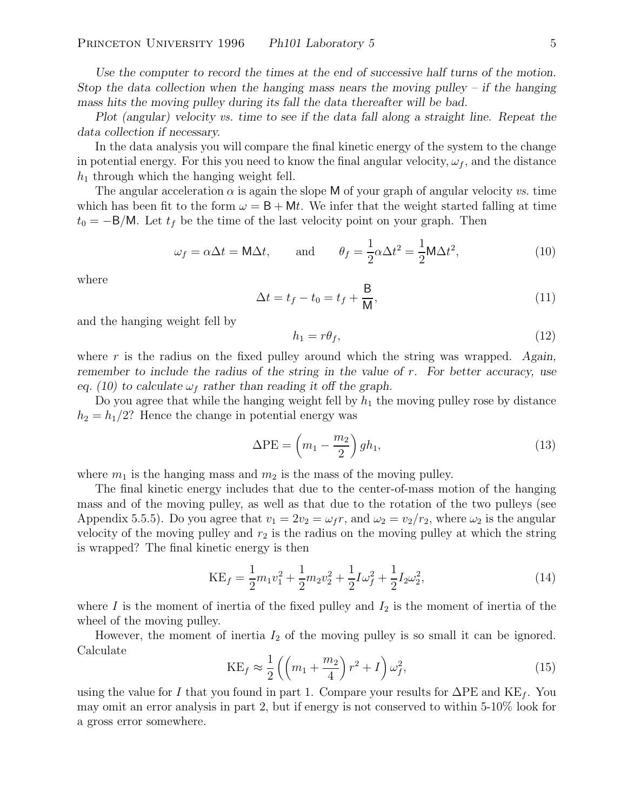*Use the computer to record the times at the end of successive half turns of the motion. Stop the data collection when the hanging mass nears the moving pulley – if the hanging mass hits the moving pulley during its fall the data thereafter will be bad.*

*Plot (angular) velocity vs. time to see if the data fall along a straight line. Repeat the data collection if necessary.*

In the data analysis you will compare the final kinetic energy of the system to the change in potential energy. For this you need to know the final angular velocity,  $\omega_f$ , and the distance  $h_1$  through which the hanging weight fell.

The angular acceleration  $\alpha$  is again the slope M of your graph of angular velocity *vs.* time which has been fit to the form  $\omega = \mathsf{B} + \mathsf{M}t$ . We infer that the weight started falling at time  $t_0 = -B/M$ . Let  $t_f$  be the time of the last velocity point on your graph. Then

$$
\omega_f = \alpha \Delta t = \mathsf{M} \Delta t
$$
, and  $\theta_f = \frac{1}{2} \alpha \Delta t^2 = \frac{1}{2} \mathsf{M} \Delta t^2$ , (10)

where

$$
\Delta t = t_f - t_0 = t_f + \frac{\mathsf{B}}{\mathsf{M}},\tag{11}
$$

and the hanging weight fell by

$$
h_1 = r\theta_f,\tag{12}
$$

where r is the radius on the fixed pulley around which the string was wrapped. *Again, remember to include the radius of the string in the value of* r*. For better accuracy, use eq.* (10) to calculate  $\omega_f$  rather than reading it off the graph.

Do you agree that while the hanging weight fell by  $h_1$  the moving pulley rose by distance  $h_2 = h_1/2$ ? Hence the change in potential energy was

$$
\Delta PE = \left(m_1 - \frac{m_2}{2}\right) gh_1,\tag{13}
$$

where  $m_1$  is the hanging mass and  $m_2$  is the mass of the moving pulley.

The final kinetic energy includes that due to the center-of-mass motion of the hanging mass and of the moving pulley, as well as that due to the rotation of the two pulleys (see Appendix 5.5.5). Do you agree that  $v_1 = 2v_2 = \omega_f r$ , and  $\omega_2 = v_2/r_2$ , where  $\omega_2$  is the angular velocity of the moving pulley and  $r_2$  is the radius on the moving pulley at which the string is wrapped? The final kinetic energy is then

$$
KE_f = \frac{1}{2}m_1v_1^2 + \frac{1}{2}m_2v_2^2 + \frac{1}{2}I\omega_f^2 + \frac{1}{2}I_2\omega_2^2,
$$
\n(14)

where  $I$  is the moment of inertia of the fixed pulley and  $I_2$  is the moment of inertia of the wheel of the moving pulley.

However, the moment of inertia  $I_2$  of the moving pulley is so small it can be ignored. Calculate

$$
KE_f \approx \frac{1}{2} \left( \left( m_1 + \frac{m_2}{4} \right) r^2 + I \right) \omega_f^2, \tag{15}
$$

using the value for I that you found in part 1. Compare your results for  $\Delta PE$  and  $KE_f$ . You may omit an error analysis in part 2, but if energy is not conserved to within 5-10% look for a gross error somewhere.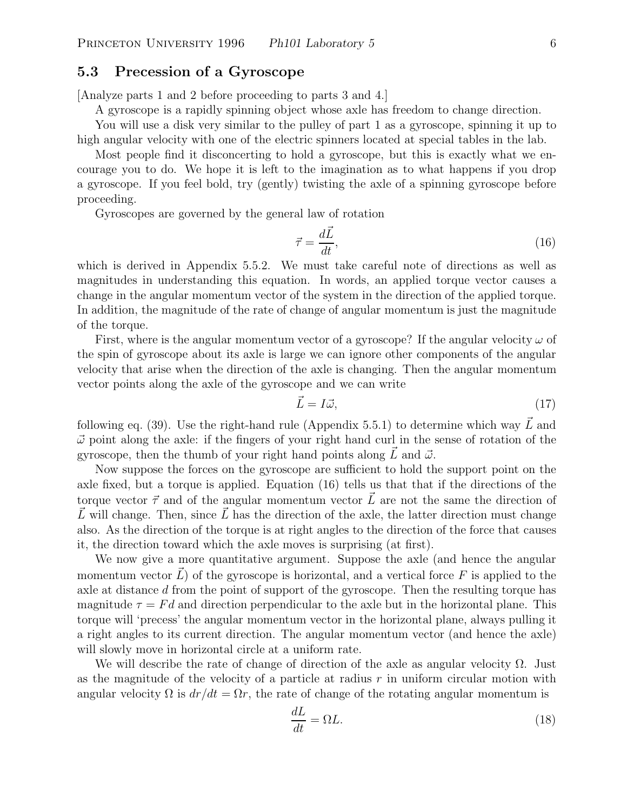### **5.3 Precession of a Gyroscope**

[Analyze parts 1 and 2 before proceeding to parts 3 and 4.]

A gyroscope is a rapidly spinning object whose axle has freedom to change direction.

You will use a disk very similar to the pulley of part 1 as a gyroscope, spinning it up to high angular velocity with one of the electric spinners located at special tables in the lab.

Most people find it disconcerting to hold a gyroscope, but this is exactly what we encourage you to do. We hope it is left to the imagination as to what happens if you drop a gyroscope. If you feel bold, try (gently) twisting the axle of a spinning gyroscope before proceeding.

Gyroscopes are governed by the general law of rotation

$$
\vec{\tau} = \frac{d\vec{L}}{dt},\tag{16}
$$

which is derived in Appendix 5.5.2. We must take careful note of directions as well as magnitudes in understanding this equation. In words, an applied torque vector causes a change in the angular momentum vector of the system in the direction of the applied torque. In addition, the magnitude of the rate of change of angular momentum is just the magnitude of the torque.

First, where is the angular momentum vector of a gyroscope? If the angular velocity  $\omega$  of the spin of gyroscope about its axle is large we can ignore other components of the angular velocity that arise when the direction of the axle is changing. Then the angular momentum vector points along the axle of the gyroscope and we can write

$$
\vec{L} = I\vec{\omega},\tag{17}
$$

following eq. (39). Use the right-hand rule (Appendix 5.5.1) to determine which way  $\vec{L}$  and  $\vec{\omega}$  point along the axle: if the fingers of your right hand curl in the sense of rotation of the gyroscope, then the thumb of your right hand points along  $\vec{L}$  and  $\vec{\omega}$ .

Now suppose the forces on the gyroscope are sufficient to hold the support point on the axle fixed, but a torque is applied. Equation (16) tells us that that if the directions of the torque vector  $\vec{\tau}$  and of the angular momentum vector  $\vec{L}$  are not the same the direction of  $\vec{L}$  will change. Then, since  $\vec{L}$  has the direction of the axle, the latter direction must change also. As the direction of the torque is at right angles to the direction of the force that causes it, the direction toward which the axle moves is surprising (at first).

We now give a more quantitative argument. Suppose the axle (and hence the angular momentum vector  $\vec{L}$ ) of the gyroscope is horizontal, and a vertical force F is applied to the axle at distance d from the point of support of the gyroscope. Then the resulting torque has magnitude  $\tau = Fd$  and direction perpendicular to the axle but in the horizontal plane. This torque will 'precess' the angular momentum vector in the horizontal plane, always pulling it a right angles to its current direction. The angular momentum vector (and hence the axle) will slowly move in horizontal circle at a uniform rate.

We will describe the rate of change of direction of the axle as angular velocity  $\Omega$ . Just as the magnitude of the velocity of a particle at radius  $r$  in uniform circular motion with angular velocity  $\Omega$  is  $dr/dt = \Omega r$ , the rate of change of the rotating angular momentum is

$$
\frac{dL}{dt} = \Omega L.\tag{18}
$$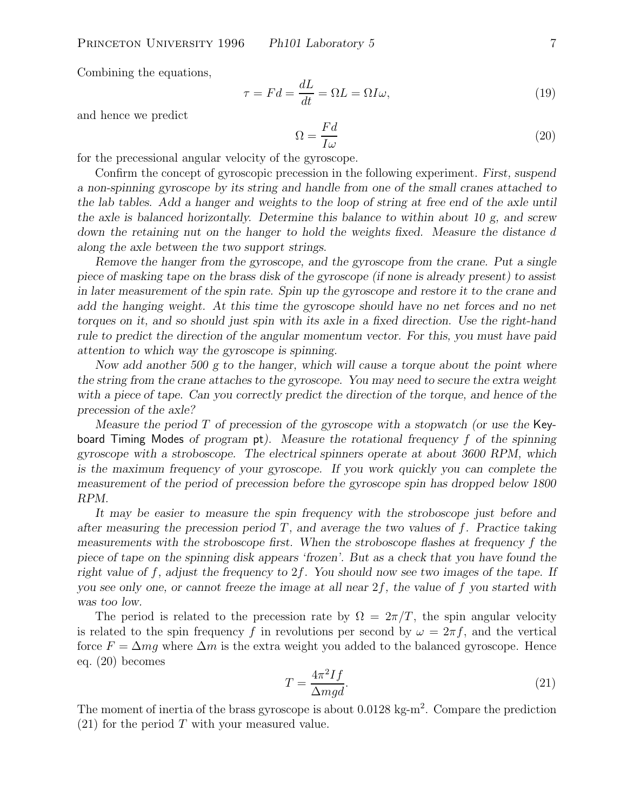Combining the equations,

$$
\tau = Fd = \frac{dL}{dt} = \Omega L = \Omega I \omega,
$$
\n(19)

and hence we predict

$$
\Omega = \frac{Fd}{I\omega} \tag{20}
$$

for the precessional angular velocity of the gyroscope.

Confirm the concept of gyroscopic precession in the following experiment. *First, suspend a non-spinning gyroscope by its string and handle from one of the small cranes attached to the lab tables. Add a hanger and weights to the loop of string at free end of the axle until the axle is balanced horizontally. Determine this balance to within about 10 g, and screw* down the retaining nut on the hanger to hold the weights fixed. Measure the distance d *along the axle between the two support strings.*

*Remove the hanger from the gyroscope, and the gyroscope from the crane. Put a single piece of masking tape on the brass disk of the gyroscope (if none is already present) to assist in later measurement of the spin rate. Spin up the gyroscope and restore it to the crane and add the hanging weight. At this time the gyroscope should have no net forces and no net torques on it, and so should just spin with its axle in a fixed direction. Use the right-hand rule to predict the direction of the angular momentum vector. For this, you must have paid attention to which way the gyroscope is spinning.*

*Now add another 500 g to the hanger, which will cause a torque about the point where the string from the crane attaches to the gyroscope. You may need to secure the extra weight with a piece of tape. Can you correctly predict the direction of the torque, and hence of the precession of the axle?*

*Measure the period* T *of precession of the gyroscope with a stopwatch (or use the* Keyboard Timing Modes *of program* pt*). Measure the rotational frequency* f *of the spinning gyroscope with a stroboscope. The electrical spinners operate at about 3600 RPM, which is the maximum frequency of your gyroscope. If you work quickly you can complete the measurement of the period of precession before the gyroscope spin has dropped below 1800 RPM.*

*It may be easier to measure the spin frequency with the stroboscope just before and after measuring the precession period T, and average the two values of f. Practice taking measurements with the stroboscope first. When the stroboscope flashes at frequency* f *the piece of tape on the spinning disk appears 'frozen'. But as a check that you have found the right value of* f*, adjust the frequency to* 2f*. You should now see two images of the tape. If you see only one, or cannot freeze the image at all near* 2f*, the value of* f *you started with was too low.*

The period is related to the precession rate by  $\Omega = 2\pi/T$ , the spin angular velocity is related to the spin frequency f in revolutions per second by  $\omega = 2\pi f$ , and the vertical force  $F = \Delta mg$  where  $\Delta m$  is the extra weight you added to the balanced gyroscope. Hence eq. (20) becomes

$$
T = \frac{4\pi^2 I f}{\Delta mgd}.\tag{21}
$$

The moment of inertia of the brass gyroscope is about  $0.0128 \text{ kg-m}^2$ . Compare the prediction  $(21)$  for the period T with your measured value.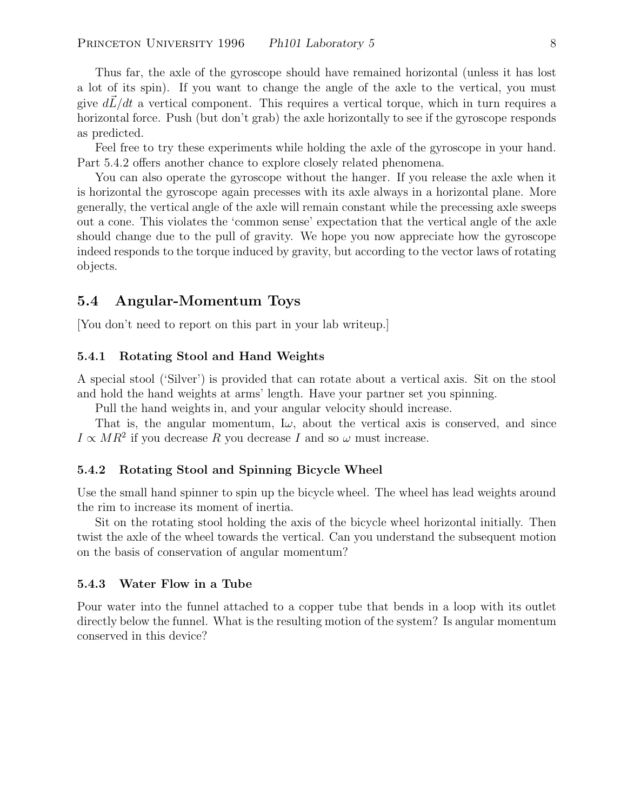Thus far, the axle of the gyroscope should have remained horizontal (unless it has lost a lot of its spin). If you want to change the angle of the axle to the vertical, you must give  $d\vec{L}/dt$  a vertical component. This requires a vertical torque, which in turn requires a horizontal force. Push (but don't grab) the axle horizontally to see if the gyroscope responds as predicted.

Feel free to try these experiments while holding the axle of the gyroscope in your hand. Part 5.4.2 offers another chance to explore closely related phenomena.

You can also operate the gyroscope without the hanger. If you release the axle when it is horizontal the gyroscope again precesses with its axle always in a horizontal plane. More generally, the vertical angle of the axle will remain constant while the precessing axle sweeps out a cone. This violates the 'common sense' expectation that the vertical angle of the axle should change due to the pull of gravity. We hope you now appreciate how the gyroscope indeed responds to the torque induced by gravity, but according to the vector laws of rotating objects.

## **5.4 Angular-Momentum Toys**

[You don't need to report on this part in your lab writeup.]

#### **5.4.1 Rotating Stool and Hand Weights**

A special stool ('Silver') is provided that can rotate about a vertical axis. Sit on the stool and hold the hand weights at arms' length. Have your partner set you spinning.

Pull the hand weights in, and your angular velocity should increase.

That is, the angular momentum,  $I\omega$ , about the vertical axis is conserved, and since  $I \propto MR^2$  if you decrease R you decrease I and so  $\omega$  must increase.

#### **5.4.2 Rotating Stool and Spinning Bicycle Wheel**

Use the small hand spinner to spin up the bicycle wheel. The wheel has lead weights around the rim to increase its moment of inertia.

Sit on the rotating stool holding the axis of the bicycle wheel horizontal initially. Then twist the axle of the wheel towards the vertical. Can you understand the subsequent motion on the basis of conservation of angular momentum?

#### **5.4.3 Water Flow in a Tube**

Pour water into the funnel attached to a copper tube that bends in a loop with its outlet directly below the funnel. What is the resulting motion of the system? Is angular momentum conserved in this device?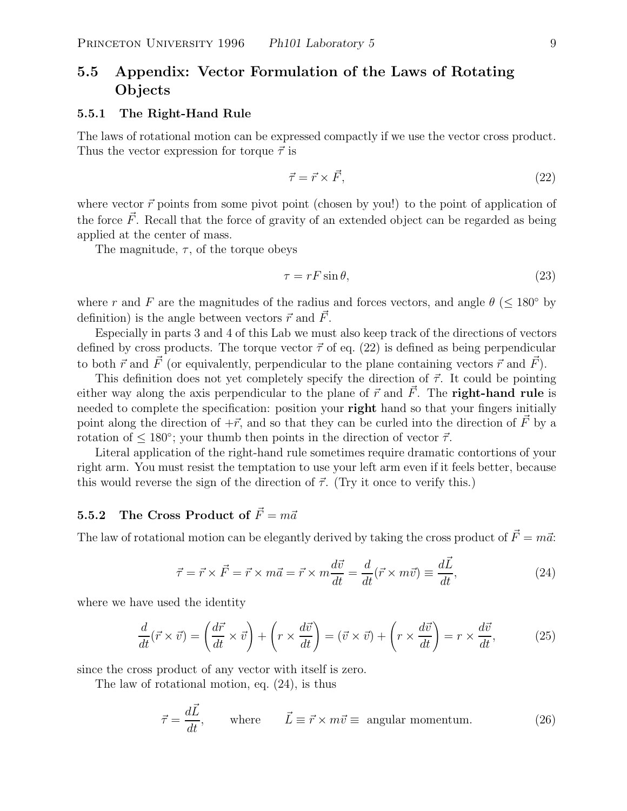# **5.5 Appendix: Vector Formulation of the Laws of Rotating Objects**

#### **5.5.1 The Right-Hand Rule**

The laws of rotational motion can be expressed compactly if we use the vector cross product. Thus the vector expression for torque  $\vec{\tau}$  is

$$
\vec{\tau} = \vec{r} \times \vec{F},\tag{22}
$$

where vector  $\vec{r}$  points from some pivot point (chosen by you!) to the point of application of the force  $\vec{F}$ . Recall that the force of gravity of an extended object can be regarded as being applied at the center of mass.

The magnitude,  $\tau$ , of the torque obeys

$$
\tau = rF\sin\theta,\tag{23}
$$

where r and F are the magnitudes of the radius and forces vectors, and angle  $\theta$  ( $\leq 180^{\circ}$  by definition) is the angle between vectors  $\vec{r}$  and  $\vec{F}$ .

Especially in parts 3 and 4 of this Lab we must also keep track of the directions of vectors defined by cross products. The torque vector  $\vec{\tau}$  of eq. (22) is defined as being perpendicular to both  $\vec{r}$  and  $\vec{F}$  (or equivalently, perpendicular to the plane containing vectors  $\vec{r}$  and  $\vec{F}$ ).

This definition does not yet completely specify the direction of  $\vec{\tau}$ . It could be pointing either way along the axis perpendicular to the plane of  $\vec{r}$  and  $\vec{F}$ . The **right-hand rule** is needed to complete the specification: position your **right** hand so that your fingers initially point along the direction of  $+\vec{r}$ , and so that they can be curled into the direction of  $\vec{F}$  by a rotation of  $\leq 180^{\circ}$ ; your thumb then points in the direction of vector  $\vec{\tau}$ .

Literal application of the right-hand rule sometimes require dramatic contortions of your right arm. You must resist the temptation to use your left arm even if it feels better, because this would reverse the sign of the direction of  $\vec{\tau}$ . (Try it once to verify this.)

## **5.5.2** The Cross Product of  $\vec{F} = m\vec{a}$

The law of rotational motion can be elegantly derived by taking the cross product of  $\vec{F}=m\vec{a}$ :

$$
\vec{\tau} = \vec{r} \times \vec{F} = \vec{r} \times m\vec{a} = \vec{r} \times m\frac{d\vec{v}}{dt} = \frac{d}{dt}(\vec{r} \times m\vec{v}) \equiv \frac{d\vec{L}}{dt},\tag{24}
$$

where we have used the identity

$$
\frac{d}{dt}(\vec{r} \times \vec{v}) = \left(\frac{d\vec{r}}{dt} \times \vec{v}\right) + \left(r \times \frac{d\vec{v}}{dt}\right) = (\vec{v} \times \vec{v}) + \left(r \times \frac{d\vec{v}}{dt}\right) = r \times \frac{d\vec{v}}{dt},\tag{25}
$$

since the cross product of any vector with itself is zero.

The law of rotational motion, eq. (24), is thus

$$
\vec{\tau} = \frac{d\vec{L}}{dt}, \qquad \text{where} \qquad \vec{L} \equiv \vec{r} \times m\vec{v} \equiv \text{ angular momentum.} \tag{26}
$$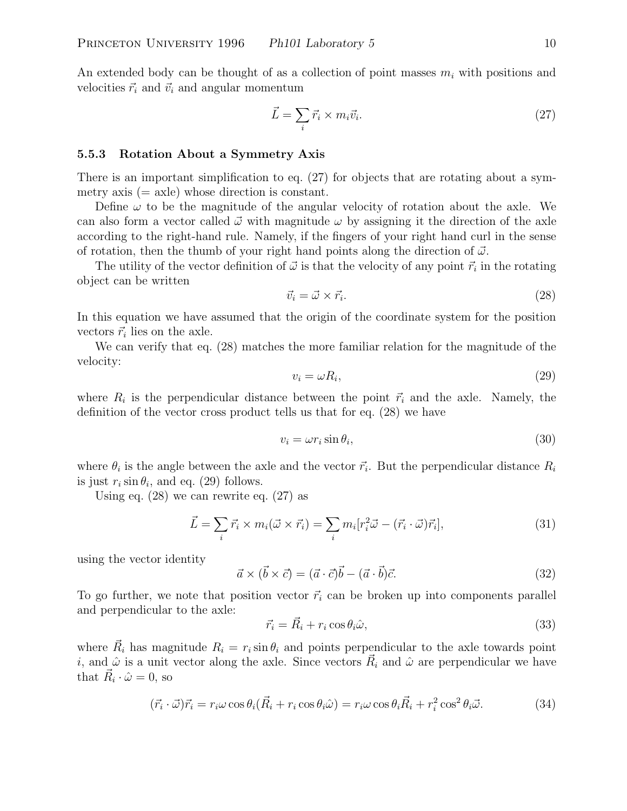An extended body can be thought of as a collection of point masses  $m_i$  with positions and velocities  $\vec{r}_i$  and  $\vec{v}_i$  and angular momentum

$$
\vec{L} = \sum_{i} \vec{r_i} \times m_i \vec{v_i}.
$$
\n(27)

#### **5.5.3 Rotation About a Symmetry Axis**

There is an important simplification to eq. (27) for objects that are rotating about a symmetry axis  $(= \text{axle})$  whose direction is constant.

Define  $\omega$  to be the magnitude of the angular velocity of rotation about the axle. We can also form a vector called  $\vec{\omega}$  with magnitude  $\omega$  by assigning it the direction of the axle according to the right-hand rule. Namely, if the fingers of your right hand curl in the sense of rotation, then the thumb of your right hand points along the direction of  $\vec{\omega}$ .

The utility of the vector definition of  $\vec{\omega}$  is that the velocity of any point  $\vec{r}_i$  in the rotating object can be written

$$
\vec{v}_i = \vec{\omega} \times \vec{r}_i. \tag{28}
$$

In this equation we have assumed that the origin of the coordinate system for the position vectors  $\vec{r}_i$  lies on the axle.

We can verify that eq. (28) matches the more familiar relation for the magnitude of the velocity:

$$
v_i = \omega R_i,\tag{29}
$$

where  $R_i$  is the perpendicular distance between the point  $\vec{r}_i$  and the axle. Namely, the definition of the vector cross product tells us that for eq. (28) we have

$$
v_i = \omega r_i \sin \theta_i,\tag{30}
$$

where  $\theta_i$  is the angle between the axle and the vector  $\vec{r_i}$ . But the perpendicular distance  $R_i$ is just  $r_i \sin \theta_i$ , and eq. (29) follows.

Using eq. (28) we can rewrite eq. (27) as

$$
\vec{L} = \sum_{i} \vec{r_i} \times m_i(\vec{\omega} \times \vec{r_i}) = \sum_{i} m_i[r_i^2 \vec{\omega} - (\vec{r_i} \cdot \vec{\omega}) \vec{r_i}], \tag{31}
$$

using the vector identity

$$
\vec{a} \times (\vec{b} \times \vec{c}) = (\vec{a} \cdot \vec{c})\vec{b} - (\vec{a} \cdot \vec{b})\vec{c}.
$$
 (32)

To go further, we note that position vector  $\vec{r}_i$  can be broken up into components parallel and perpendicular to the axle:

$$
\vec{r}_i = \vec{R}_i + r_i \cos \theta_i \hat{\omega},\tag{33}
$$

where  $\vec{R}_i$  has magnitude  $R_i = r_i \sin \theta_i$  and points perpendicular to the axle towards point *i*, and  $\hat{\omega}$  is a unit vector along the axle. Since vectors  $\vec{R}_i$  and  $\hat{\omega}$  are perpendicular we have that  $\vec{R}_i \cdot \hat{\omega} = 0$ , so

$$
(\vec{r}_i \cdot \vec{\omega}) \vec{r}_i = r_i \omega \cos \theta_i (\vec{R}_i + r_i \cos \theta_i \hat{\omega}) = r_i \omega \cos \theta_i \vec{R}_i + r_i^2 \cos^2 \theta_i \vec{\omega}.
$$
 (34)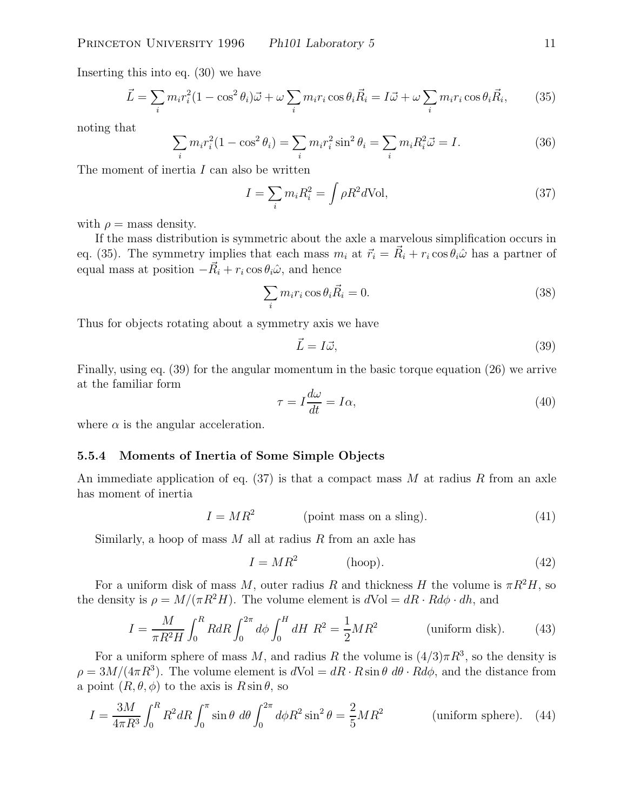Inserting this into eq. (30) we have

$$
\vec{L} = \sum_{i} m_i r_i^2 (1 - \cos^2 \theta_i) \vec{\omega} + \omega \sum_{i} m_i r_i \cos \theta_i \vec{R}_i = I \vec{\omega} + \omega \sum_{i} m_i r_i \cos \theta_i \vec{R}_i, \qquad (35)
$$

noting that

$$
\sum_{i} m_{i} r_{i}^{2} (1 - \cos^{2} \theta_{i}) = \sum_{i} m_{i} r_{i}^{2} \sin^{2} \theta_{i} = \sum_{i} m_{i} R_{i}^{2} \vec{\omega} = I.
$$
 (36)

The moment of inertia I can also be written

$$
I = \sum_{i} m_i R_i^2 = \int \rho R^2 d\text{Vol},\tag{37}
$$

with  $\rho =$  mass density.

If the mass distribution is symmetric about the axle a marvelous simplification occurs in eq. (35). The symmetry implies that each mass  $m_i$  at  $\vec{r}_i = \vec{R}_i + r_i \cos \theta_i \hat{\omega}$  has a partner of equal mass at position  $-\vec{R}_i + r_i \cos \theta_i \hat{\omega}$ , and hence

$$
\sum_{i} m_i r_i \cos \theta_i \vec{R}_i = 0. \tag{38}
$$

Thus for objects rotating about a symmetry axis we have

$$
\vec{L} = I\vec{\omega},\tag{39}
$$

Finally, using eq. (39) for the angular momentum in the basic torque equation (26) we arrive at the familiar form

$$
\tau = I \frac{d\omega}{dt} = I\alpha,\tag{40}
$$

where  $\alpha$  is the angular acceleration.

#### **5.5.4 Moments of Inertia of Some Simple Objects**

An immediate application of eq.  $(37)$  is that a compact mass M at radius R from an axle has moment of inertia

$$
I = MR^2
$$
 (point mass on a slip). (41)

Similarly, a hoop of mass  $M$  all at radius  $R$  from an axle has

$$
I = MR^2 \t\t\t(hoop).
$$
\t(42)

For a uniform disk of mass M, outer radius R and thickness H the volume is  $\pi R^2H$ , so the density is  $\rho = M/(\pi R^2 H)$ . The volume element is  $dVol = dR \cdot R d\phi \cdot dh$ , and

$$
I = \frac{M}{\pi R^2 H} \int_0^R R dR \int_0^{2\pi} d\phi \int_0^H dH \ R^2 = \frac{1}{2} M R^2 \qquad \text{(uniform disk)}.
$$
 (43)

For a uniform sphere of mass M, and radius R the volume is  $(4/3)\pi R^3$ , so the density is  $\rho = 3M/(4\pi R^3)$ . The volume element is  $dVol = dR \cdot R \sin \theta \, d\theta \cdot R d\phi$ , and the distance from a point  $(R, \theta, \phi)$  to the axis is  $R \sin \theta$ , so

$$
I = \frac{3M}{4\pi R^3} \int_0^R R^2 dR \int_0^\pi \sin\theta \ d\theta \int_0^{2\pi} d\phi R^2 \sin^2\theta = \frac{2}{5} M R^2 \qquad \text{(uniform sphere)}.
$$
 (44)